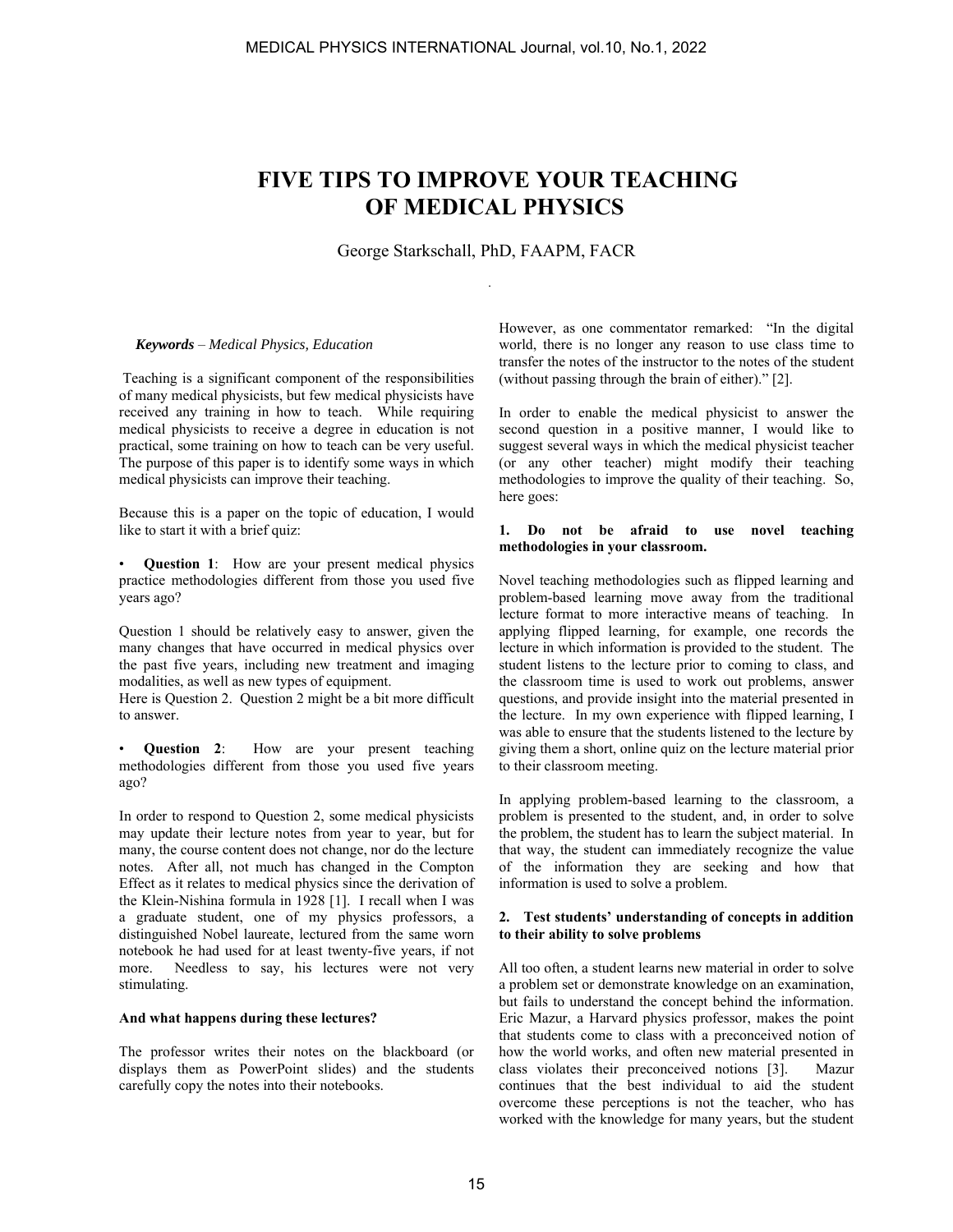# **FIVE TIPS TO IMPROVE YOUR TEACHING OF MEDICAL PHYSICS**

George Starkschall, PhD, FAAPM, FACR

.

#### *Keywords* – *Medical Physics, Education*

 Teaching is a significant component of the responsibilities of many medical physicists, but few medical physicists have received any training in how to teach. While requiring medical physicists to receive a degree in education is not practical, some training on how to teach can be very useful. The purpose of this paper is to identify some ways in which medical physicists can improve their teaching.

Because this is a paper on the topic of education, I would like to start it with a brief quiz:

• **Question 1**: How are your present medical physics practice methodologies different from those you used five years ago?

Question 1 should be relatively easy to answer, given the many changes that have occurred in medical physics over the past five years, including new treatment and imaging modalities, as well as new types of equipment.

Here is Question 2. Question 2 might be a bit more difficult to answer.

• **Question 2**: How are your present teaching methodologies different from those you used five years ago?

In order to respond to Question 2, some medical physicists may update their lecture notes from year to year, but for many, the course content does not change, nor do the lecture notes. After all, not much has changed in the Compton Effect as it relates to medical physics since the derivation of the Klein-Nishina formula in 1928 [1]. I recall when I was a graduate student, one of my physics professors, a distinguished Nobel laureate, lectured from the same worn notebook he had used for at least twenty-five years, if not more. Needless to say, his lectures were not very stimulating.

#### **And what happens during these lectures?**

The professor writes their notes on the blackboard (or displays them as PowerPoint slides) and the students carefully copy the notes into their notebooks.

However, as one commentator remarked: "In the digital world, there is no longer any reason to use class time to transfer the notes of the instructor to the notes of the student (without passing through the brain of either)." [2].

In order to enable the medical physicist to answer the second question in a positive manner, I would like to suggest several ways in which the medical physicist teacher (or any other teacher) might modify their teaching methodologies to improve the quality of their teaching. So, here goes:

#### **1. Do not be afraid to use novel teaching methodologies in your classroom.**

Novel teaching methodologies such as flipped learning and problem-based learning move away from the traditional lecture format to more interactive means of teaching. In applying flipped learning, for example, one records the lecture in which information is provided to the student. The student listens to the lecture prior to coming to class, and the classroom time is used to work out problems, answer questions, and provide insight into the material presented in the lecture. In my own experience with flipped learning, I was able to ensure that the students listened to the lecture by giving them a short, online quiz on the lecture material prior to their classroom meeting.

In applying problem-based learning to the classroom, a problem is presented to the student, and, in order to solve the problem, the student has to learn the subject material. In that way, the student can immediately recognize the value of the information they are seeking and how that information is used to solve a problem.

## **2. Test students' understanding of concepts in addition to their ability to solve problems**

All too often, a student learns new material in order to solve a problem set or demonstrate knowledge on an examination, but fails to understand the concept behind the information. Eric Mazur, a Harvard physics professor, makes the point that students come to class with a preconceived notion of how the world works, and often new material presented in class violates their preconceived notions [3]. Mazur continues that the best individual to aid the student overcome these perceptions is not the teacher, who has worked with the knowledge for many years, but the student